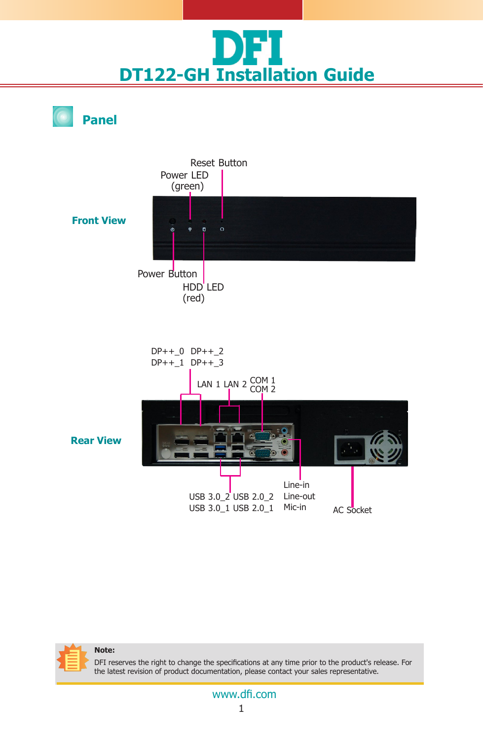

**Panel**





DFI reserves the right to change the specifications at any time prior to the product's release. For the latest revision of product documentation, please contact your sales representative.

#### 1 www.dfi.com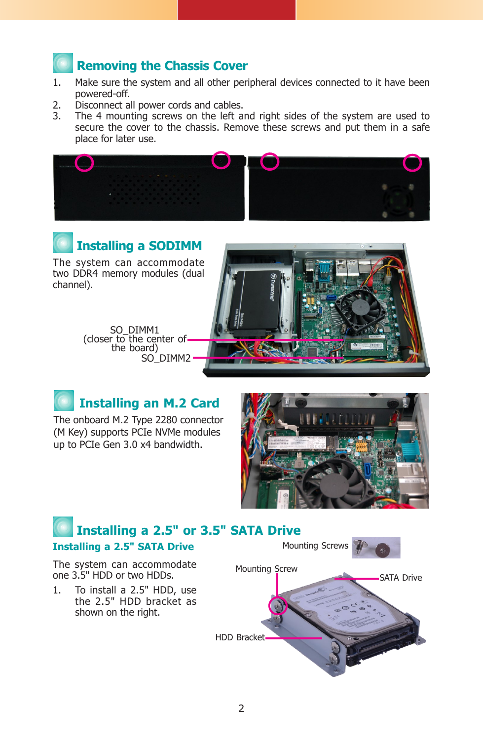# **Removing the Chassis Cover**

- 1. Make sure the system and all other peripheral devices connected to it have been powered-off.
- 2. Disconnect all power cords and cables.<br>  $\frac{1}{2}$  The 4 mounting screws on the left as
- The 4 mounting screws on the left and right sides of the system are used to secure the cover to the chassis. Remove these screws and put them in a safe place for later use.





The system can accommodate two DDR4 memory modules (dual channel).

> SO\_DIMM1<br>(closer to the center of the board) SO\_DIMM2





The onboard M.2 Type 2280 connector (M Key) supports PCIe NVMe modules up to PCIe Gen 3.0 x4 bandwidth.



## The system can accommodate one 3.5" HDD or two HDDs. 1. To install a 2.5" HDD, use the 2.5" HDD bracket as shown on the right. **Installing a 2.5" or 3.5" SATA Drive Installing a 2.5" SATA Drive** Mounting Screws SATA Drive HDD Bracket Mounting Screw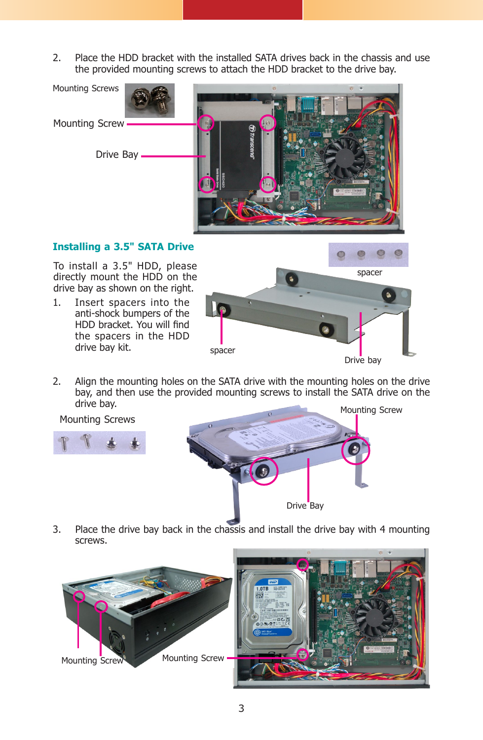2. Place the HDD bracket with the installed SATA drives back in the chassis and use the provided mounting screws to attach the HDD bracket to the drive bay.



#### **Installing a 3.5" SATA Drive**

To install a 3.5" HDD, please directly mount the HDD on the drive bay as shown on the right.

1. Insert spacers into the anti-shock bumpers of the HDD bracket. You will find the spacers in the HDD drive bay kit.



2. Align the mounting holes on the SATA drive with the mounting holes on the drive bay, and then use the provided mounting screws to install the SATA drive on the drive bay.

Mounting Screws



3. Place the drive bay back in the chassis and install the drive bay with 4 mounting screws.